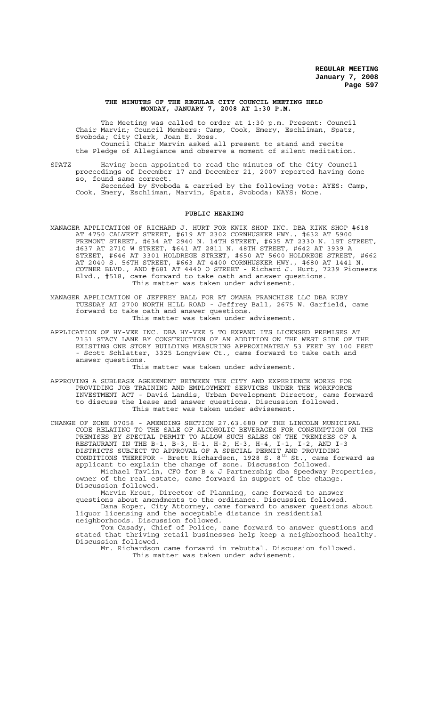### **THE MINUTES OF THE REGULAR CITY COUNCIL MEETING HELD MONDAY, JANUARY 7, 2008 AT 1:30 P.M.**

The Meeting was called to order at 1:30 p.m. Present: Council Chair Marvin; Council Members: Camp, Cook, Emery, Eschliman, Spatz, Svoboda; City Clerk, Joan E. Ross. Council Chair Marvin asked all present to stand and recite the Pledge of Allegiance and observe a moment of silent meditation.

SPATZ Having been appointed to read the minutes of the City Council proceedings of December 17 and December 21, 2007 reported having done so, found same correct. Seconded by Svoboda & carried by the following vote: AYES: Camp, Cook, Emery, Eschliman, Marvin, Spatz, Svoboda; NAYS: None.

### **PUBLIC HEARING**

- MANAGER APPLICATION OF RICHARD J. HURT FOR KWIK SHOP INC. DBA KIWK SHOP #618 AT 4750 CALVERT STREET, #619 AT 2302 CORNHUSKER HWY., #632 AT 5900 FREMONT STREET, #634 AT 2940 N. 14TH STREET, #635 AT 2330 N. 1ST STREET, #637 AT 2710 W STREET, #641 AT 2811 N. 48TH STREET, #642 AT 3939 A STREET, #646 AT 3301 HOLDREGE STREET, #650 AT 5600 HOLDREGE STREET, #662 AT 2040 S. 56TH STREET, #663 AT 4400 CORNHUSKER HWY., #680 AT 1441 N. COTNER BLVD., AND #681 AT 4440 O STREET - Richard J. Hurt, 7239 Pioneers Blvd., #518, came forward to take oath and answer questions. This matter was taken under advisement.
- MANAGER APPLICATION OF JEFFREY BALL FOR RT OMAHA FRANCHISE LLC DBA RUBY TUESDAY AT 2700 NORTH HILL ROAD - Jeffrey Ball, 2675 W. Garfield, came forward to take oath and answer questions. This matter was taken under advisement.
- APPLICATION OF HY-VEE INC. DBA HY-VEE 5 TO EXPAND ITS LICENSED PREMISES AT 7151 STACY LANE BY CONSTRUCTION OF AN ADDITION ON THE WEST SIDE OF THE EXISTING ONE STORY BUILDING MEASURING APPROXIMATELY 53 FEET BY 100 FEET - Scott Schlatter, 3325 Longview Ct., came forward to take oath and answer questions.

### This matter was taken under advisement.

APPROVING A SUBLEASE AGREEMENT BETWEEN THE CITY AND EXPERIENCE WORKS FOR PROVIDING JOB TRAINING AND EMPLOYMENT SERVICES UNDER THE WORKFORCE INVESTMENT ACT - David Landis, Urban Development Director, came forward to discuss the lease and answer questions. Discussion followed. This matter was taken under advisement.

CHANGE OF ZONE 07058 - AMENDING SECTION 27.63.680 OF THE LINCOLN MUNICIPAL CODE RELATING TO THE SALE OF ALCOHOLIC BEVERAGES FOR CONSUMPTION ON THE PREMISES BY SPECIAL PERMIT TO ALLOW SUCH SALES ON THE PREMISES OF A RESTAURANT IN THE B-1, B-3, H-1, H-2, H-3, H-4, I-1, I-2, AND I-3 DISTRICTS SUBJECT TO APPROVAL OF A SPECIAL PERMIT AND PROVIDING CONDITIONS THEREFOR - Brett Richardson, 1928 S.  $8^{th}$  St., came forward as applicant to explain the change of zone. Discussion followed. Michael Tavlin, CFO for B & J Partnership dba Speedway Properties,

owner of the real estate, came forward in support of the change. Discussion followed.

Marvin Krout, Director of Planning, came forward to answer questions about amendments to the ordinance. Discussion followed.

Dana Roper, City Attorney, came forward to answer questions about liquor licensing and the acceptable distance in residential neighborhoods. Discussion followed.

Tom Casady, Chief of Police, came forward to answer questions and stated that thriving retail businesses help keep a neighborhood healthy. Discussion followed.

Mr. Richardson came forward in rebuttal. Discussion followed. This matter was taken under advisement.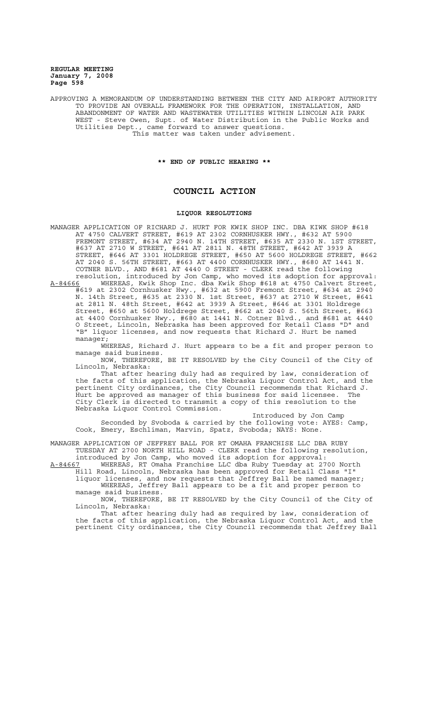APPROVING A MEMORANDUM OF UNDERSTANDING BETWEEN THE CITY AND AIRPORT AUTHORITY TO PROVIDE AN OVERALL FRAMEWORK FOR THE OPERATION, INSTALLATION, AND<br>ABANDONMENT OF WATER AND WASTEWATER UTILITIES WITHIN LINCOLN AIR PARK ABANDONMENT OF WATER AND WASTEWATER UTILITIES WITHIN LINCOLN AIR WEST - Steve Owen, Supt. of Water Distribution in the Public Works and Utilities Dept., came forward to answer questions. This matter was taken under advisement.

**\*\* END OF PUBLIC HEARING \*\***

# **COUNCIL ACTION**

# **LIQUOR RESOLUTIONS**

MANAGER APPLICATION OF RICHARD J. HURT FOR KWIK SHOP INC. DBA KIWK SHOP #618 AT 4750 CALVERT STREET, #619 AT 2302 CORNHUSKER HWY., #632 AT 5900 FREMONT STREET, #634 AT 2940 N. 14TH STREET, #635 AT 2330 N. 1ST STREET, #637 AT 2710 W STREET, #641 AT 2811 N. 48TH STREET, #642 AT 3939 A STREET, #646 AT 3301 HOLDREGE STREET, #650 AT 5600 HOLDREGE STREET, #662 AT 2040 S. 56TH STREET, #663 AT 4400 CORNHUSKER HWY., #680 AT 1441 N. COTNER BLVD., AND #681 AT 4440 O STREET - CLERK read the following resolution, introduced by Jon Camp, who moved its adoption for approval:

A-84666 MHEREAS, Kwik Shop Inc. dba Kwik Shop #618 at 4750 Calvert Street, #619 at 2302 Cornhusker Hwy., #632 at 5900 Fremont Street, #634 at 2940 N. 14th Street, #635 at 2330 N. 1st Street, #637 at 2710 W Street, #641 at 2811 N. 48th Street, #642 at 3939 A Street, #646 at 3301 Holdrege Street, #650 at 5600 Holdrege Street, #662 at 2040 S. 56th Street, #663 at 4400 Cornhusker Hwy., #680 at 1441 N. Cotner Blvd., and #681 at 4440 O Street, Lincoln, Nebraska has been approved for Retail Class "D" and "B" liquor licenses, and now requests that Richard J. Hurt be named manager;

WHEREAS, Richard J. Hurt appears to be a fit and proper person to manage said business.

NOW, THEREFORE, BE IT RESOLVED by the City Council of the City of Lincoln, Nebraska:

That after hearing duly had as required by law, consideration of the facts of this application, the Nebraska Liquor Control Act, and the pertinent City ordinances, the City Council recommends that Richard J. Hurt be approved as manager of this business for said licensee. The City Clerk is directed to transmit a copy of this resolution to the Nebraska Liquor Control Commission.

Introduced by Jon Camp Seconded by Svoboda & carried by the following vote: AYES: Camp, Cook, Emery, Eschliman, Marvin, Spatz, Svoboda; NAYS: None.

MANAGER APPLICATION OF JEFFREY BALL FOR RT OMAHA FRANCHISE LLC DBA RUBY TUESDAY AT 2700 NORTH HILL ROAD - CLERK read the following resolution,

introduced by Jon Camp, who moved its adoption for approval: A-84667 WHEREAS, RT Omaha Franchise LLC dba Ruby Tuesday at 2700 North Hill Road, Lincoln, Nebraska has been approved for Retail Class "I" liquor licenses, and now requests that Jeffrey Ball be named manager; WHEREAS, Jeffrey Ball appears to be a fit and proper person to

manage said business. NOW, THEREFORE, BE IT RESOLVED by the City Council of the City of

Lincoln, Nebraska: That after hearing duly had as required by law, consideration of the facts of this application, the Nebraska Liquor Control Act, and the pertinent City ordinances, the City Council recommends that Jeffrey Ball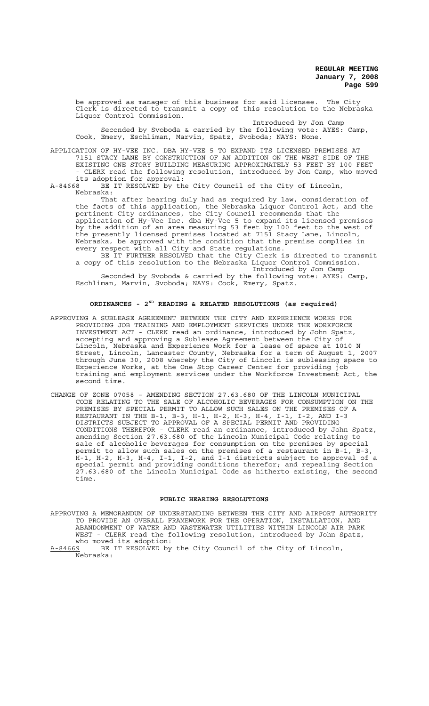be approved as manager of this business for said licensee. The City Clerk is directed to transmit a copy of this resolution to the Nebraska Liquor Control Commission.

Introduced by Jon Camp Seconded by Svoboda & carried by the following vote: AYES: Camp, Cook, Emery, Eschliman, Marvin, Spatz, Svoboda; NAYS: None.

APPLICATION OF HY-VEE INC. DBA HY-VEE 5 TO EXPAND ITS LICENSED PREMISES AT 7151 STACY LANE BY CONSTRUCTION OF AN ADDITION ON THE WEST SIDE OF THE EXISTING ONE STORY BUILDING MEASURING APPROXIMATELY 53 FEET BY 100 FEET - CLERK read the following resolution, introduced by Jon Camp, who moved its adoption for approval:

A-84668 BE IT RESOLVED by the City Council of the City of Lincoln, Nebraska:

That after hearing duly had as required by law, consideration of the facts of this application, the Nebraska Liquor Control Act, and the pertinent City ordinances, the City Council recommends that the application of Hy-Vee Inc. dba Hy-Vee 5 to expand its licensed premises by the addition of an area measuring 53 feet by 100 feet to the west of the presently licensed premises located at 7151 Stacy Lane, Lincoln, Nebraska, be approved with the condition that the premise complies in every respect with all City and State regulations.

BE IT FURTHER RESOLVED that the City Clerk is directed to transmit a copy of this resolution to the Nebraska Liquor Control Commission. Introduced by Jon Camp

Seconded by Svoboda & carried by the following vote: AYES: Camp, Eschliman, Marvin, Svoboda; NAYS: Cook, Emery, Spatz.

# **ORDINANCES - 2ND READING & RELATED RESOLUTIONS (as required)**

- APPROVING A SUBLEASE AGREEMENT BETWEEN THE CITY AND EXPERIENCE WORKS FOR PROVIDING JOB TRAINING AND EMPLOYMENT SERVICES UNDER THE WORKFORCE INVESTMENT ACT - CLERK read an ordinance, introduced by John Spatz, accepting and approving a Sublease Agreement between the City of Lincoln, Nebraska and Experience Work for a lease of space at 1010 N Street, Lincoln, Lancaster County, Nebraska for a term of August 1, 2007 through June 30, 2008 whereby the City of Lincoln is subleasing space to Experience Works, at the One Stop Career Center for providing job training and employment services under the Workforce Investment Act, the second time.
- CHANGE OF ZONE 07058 AMENDING SECTION 27.63.680 OF THE LINCOLN MUNICIPAL CODE RELATING TO THE SALE OF ALCOHOLIC BEVERAGES FOR CONSUMPTION ON THE PREMISES BY SPECIAL PERMIT TO ALLOW SUCH SALES ON THE PREMISES OF A RESTAURANT IN THE B-1, B-3, H-1, H-2, H-3, H-4, I-1, I-2, AND I-3 DISTRICTS SUBJECT TO APPROVAL OF A SPECIAL PERMIT AND PROVIDING CONDITIONS THEREFOR - CLERK read an ordinance, introduced by John Spatz, amending Section 27.63.680 of the Lincoln Municipal Code relating to sale of alcoholic beverages for consumption on the premises by special permit to allow such sales on the premises of a restaurant in B-1, B-3, H-1, H-2, H-3, H-4, I-1, I-2, and I-1 districts subject to approval of a special permit and providing conditions therefor; and repealing Section 27.63.680 of the Lincoln Municipal Code as hitherto existing, the second time.

## **PUBLIC HEARING RESOLUTIONS**

APPROVING A MEMORANDUM OF UNDERSTANDING BETWEEN THE CITY AND AIRPORT AUTHORITY TO PROVIDE AN OVERALL FRAMEWORK FOR THE OPERATION, INSTALLATION, AND ABANDONMENT OF WATER AND WASTEWATER UTILITIES WITHIN LINCOLN AIR PARK WEST - CLERK read the following resolution, introduced by John Spatz, who moved its adoption:

A-84669 BE IT RESOLVED by the City Council of the City of Lincoln, Nebraska: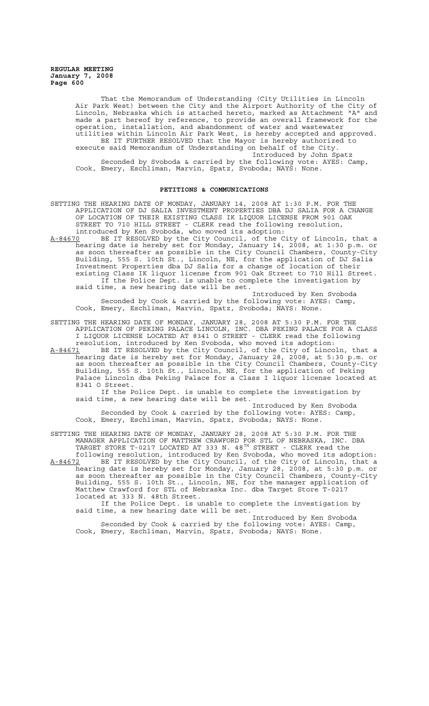> That the Memorandum of Understanding (City Utilities in Lincoln Air Park West) between the City and the Airport Authority of the City of Lincoln, Nebraska which is attached hereto, marked as Attachment "A" and made a part hereof by reference, to provide an overall framework for the operation, installation, and abandonment of water and wastewater utilities within Lincoln Air Park West, is hereby accepted and approved. BE IT FURTHER RESOLVED that the Mayor is hereby authorized to execute said Memorandum of Understanding on behalf of the City. Introduced by John Spatz Seconded by Svoboda & carried by the following vote: AYES: Camp, Cook, Emery, Eschliman, Marvin, Spatz, Svoboda; NAYS: None.

#### **PETITIONS & COMMUNICATIONS**

SETTING THE HEARING DATE OF MONDAY, JANUARY 14, 2008 AT 1:30 P.M. FOR THE APPLICATION OF DJ SALIA INVESTMENT PROPERTIES DBA DJ SALIA FOR A CHANGE OF LOCATION OF THEIR EXISTING CLASS IK LIQUOR LICENSE FROM 901 OAK STREET TO 710 HILL STREET - CLERK read the following resolution, introduced by Ken Svoboda, who moved its adoption:

A-84670 BE IT RESOLVED by the City Council, of the City of Lincoln, that a hearing date is hereby set for Monday, January 14, 2008, at 1:30 p.m. or as soon thereafter as possible in the City Council Chambers, County-City Building, 555 S. 10th St., Lincoln, NE, for the application of DJ Salia Investment Properties dba DJ Salia for a change of location of their existing Class IK liquor license from 901 Oak Street to 710 Hill Street. If the Police Dept. is unable to complete the investigation by said time, a new hearing date will be set.

Introduced by Ken Svoboda Seconded by Cook & carried by the following vote: AYES: Camp, Cook, Emery, Eschliman, Marvin, Spatz, Svoboda; NAYS: None.

SETTING THE HEARING DATE OF MONDAY, JANUARY 28, 2008 AT 5:30 P.M. FOR THE APPLICATION OF PEKING PALACE LINCOLN, INC. DBA PEKING PALACE FOR A CLASS I LIQUOR LICENSE LOCATED AT 8341 O STREET - CLERK read the following resolution, introduced by Ken Svoboda, who moved its adoption:

A-84671 BE IT RESOLVED by the City Council, of the City of Lincoln, that a hearing date is hereby set for Monday, January 28, 2008, at 5:30 p.m. or as soon thereafter as possible in the City Council Chambers, County-City Building, 555 S. 10th St., Lincoln, NE, for the application of Peking Palace Lincoln dba Peking Palace for a Class I liquor license located at 8341 O Street.

If the Police Dept. is unable to complete the investigation by said time, a new hearing date will be set.

Introduced by Ken Svoboda Seconded by Cook & carried by the following vote: AYES: Camp, Cook, Emery, Eschliman, Marvin, Spatz, Svoboda; NAYS: None.

SETTING THE HEARING DATE OF MONDAY, JANUARY 28, 2008 AT 5:30 P.M. FOR THE MANAGER APPLICATION OF MATTHEW CRAWFORD FOR STL OF NEBRASKA, INC. DBA TARGET STORE T-0217 LOCATED AT 333 N. 48<sup>TH</sup> STREET - CLERK read the following resolution, introduced by Ken Svoboda, who moved its adoption:

A-84672 BE IT RESOLVED by the City Council, of the City of Lincoln, that a hearing date is hereby set for Monday, January 28, 2008, at 5:30 p.m. or as soon thereafter as possible in the City Council Chambers, County-City Building, 555 S. 10th St., Lincoln, NE, for the manager application of Matthew Crawford for STL of Nebraska Inc. dba Target Store T-0217 located at 333 N. 48th Street.

If the Police Dept. is unable to complete the investigation by said time, a new hearing date will be set.

Introduced by Ken Svoboda Seconded by Cook & carried by the following vote: AYES: Camp, Cook, Emery, Eschliman, Marvin, Spatz, Svoboda; NAYS: None.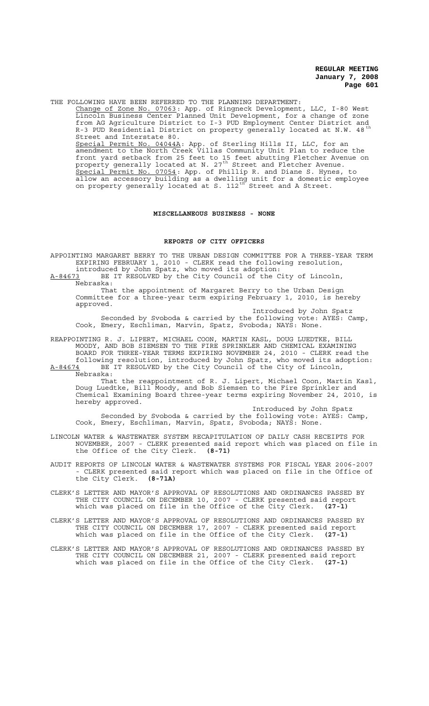THE FOLLOWING HAVE BEEN REFERRED TO THE PLANNING DEPARTMENT:

Change of Zone No. 07063: App. of Ringneck Development, LLC, I-80 West Lincoln Business Center Planned Unit Development, for a change of zone from AG Agriculture District to I-3 PUD Employment Center District and R-3 PUD Residential District on property generally located at N.W. 48<sup>th</sup> Street and Interstate 80. Special Permit No. 04044A: App. of Sterling Hills II, LLC, for an amendment to the North Creek Villas Community Unit Plan to reduce the front yard setback from 25 feet to 15 feet abutting Fletcher Avenue on property generally located at N. 27<sup>th</sup> Street and Fletcher Avenue.

Special Permit No. 07054: App. of Phillip R. and Diane S. Hynes, to allow an accessory building as a dwelling unit for a domestic employee on property generally located at S. 112<sup>th</sup> Street and A Street.

## **MISCELLANEOUS BUSINESS - NONE**

### **REPORTS OF CITY OFFICERS**

APPOINTING MARGARET BERRY TO THE URBAN DESIGN COMMITTEE FOR A THREE-YEAR TERM EXPIRING FEBRUARY 1, 2010 - CLERK read the following resolution, introduced by John Spatz, who moved its adoption:

A-84673 BE IT RESOLVED by the City Council of the City of Lincoln, Nebraska:

That the appointment of Margaret Berry to the Urban Design Committee for a three-year term expiring February 1, 2010, is hereby approved.

Introduced by John Spatz Seconded by Svoboda & carried by the following vote: AYES: Camp, Cook, Emery, Eschliman, Marvin, Spatz, Svoboda; NAYS: None.

REAPPOINTING R. J. LIPERT, MICHAEL COON, MARTIN KASL, DOUG LUEDTKE, BILL MOODY, AND BOB SIEMSEN TO THE FIRE SPRINKLER AND CHEMICAL EXAMINING BOARD FOR THREE-YEAR TERMS EXPIRING NOVEMBER 24, 2010 - CLERK read the following resolution, introduced by John Spatz, who moved its adoption:

A-84674 BE IT RESOLVED by the City Council of the City of Lincoln, Nebraska: That the reappointment of R. J. Lipert, Michael Coon, Martin Kasl,

Doug Luedtke, Bill Moody, and Bob Siemsen to the Fire Sprinkler and Chemical Examining Board three-year terms expiring November 24, 2010, is hereby approved.

Introduced by John Spatz Seconded by Svoboda & carried by the following vote: AYES: Camp, Cook, Emery, Eschliman, Marvin, Spatz, Svoboda; NAYS: None.

LINCOLN WATER & WASTEWATER SYSTEM RECAPITULATION OF DAILY CASH RECEIPTS FOR NOVEMBER, 2007 - CLERK presented said report which was placed on file in the Office of the City Clerk. **(8-71)**

AUDIT REPORTS OF LINCOLN WATER & WASTEWATER SYSTEMS FOR FISCAL YEAR 2006-2007 CLERK presented said report which was placed on file in the Office of the City Clerk. (8-71A) the City Clerk.

CLERK'S LETTER AND MAYOR'S APPROVAL OF RESOLUTIONS AND ORDINANCES PASSED BY THE CITY COUNCIL ON DECEMBER 10, 2007 - CLERK presented said report which was placed on file in the Office of the City Clerk. **(27-1)**

CLERK'S LETTER AND MAYOR'S APPROVAL OF RESOLUTIONS AND ORDINANCES PASSED BY THE CITY COUNCIL ON DECEMBER 17, 2007 - CLERK presented said report which was placed on file in the Office of the City Clerk. **(27-1)**

CLERK'S LETTER AND MAYOR'S APPROVAL OF RESOLUTIONS AND ORDINANCES PASSED BY THE CITY COUNCIL ON DECEMBER 21, 2007 - CLERK presented said report which was placed on file in the Office of the City Clerk. **(27-1)**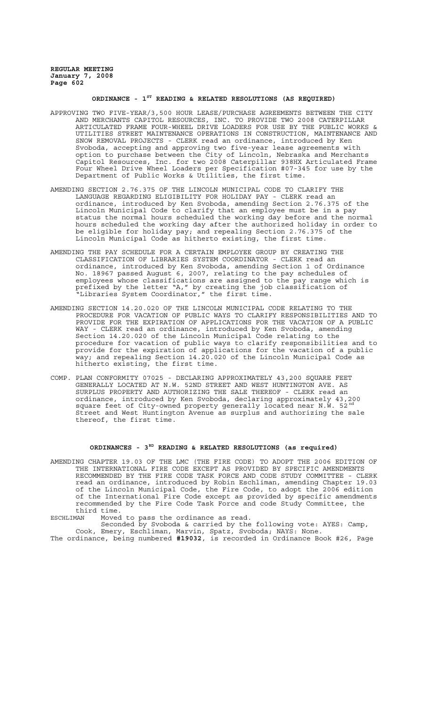# **ORDINANCE - 1ST READING & RELATED RESOLUTIONS (AS REQUIRED)**

- APPROVING TWO FIVE-YEAR/3,500 HOUR LEASE/PURCHASE AGREEMENTS BETWEEN THE CITY AND MERCHANTS CAPITOL RESOURCES, INC. TO PROVIDE TWO 2008 CATERPILLAR ARTICULATED FRAME FOUR-WHEEL DRIVE LOADERS FOR USE BY THE PUBLIC WORKS & UTILITIES STREET MAINTENANCE OPERATIONS IN CONSTRUCTION, MAINTENANCE AND SNOW REMOVAL PROJECTS - CLERK read an ordinance, introduced by Ken Svoboda, accepting and approving two five-year lease agreements with option to purchase between the City of Lincoln, Nebraska and Merchants Capitol Resources, Inc. for two 2008 Caterpillar 938HX Articulated Frame Four Wheel Drive Wheel Loaders per Specification #07-345 for use by the Department of Public Works & Utilities, the first time.
- AMENDING SECTION 2.76.375 OF THE LINCOLN MUNICIPAL CODE TO CLARIFY THE LANGUAGE REGARDING ELIGIBILITY FOR HOLIDAY PAY - CLERK read an ordinance, introduced by Ken Svoboda, amending Section 2.76.375 of the Lincoln Municipal Code to clarify that an employee must be in a pay status the normal hours scheduled the working day before and the normal hours scheduled the working day after the authorized holiday in order to be eligible for holiday pay; and repealing Section 2.76.375 of the Lincoln Municipal Code as hitherto existing, the first time.
- AMENDING THE PAY SCHEDULE FOR A CERTAIN EMPLOYEE GROUP BY CREATING THE CLASSIFICATION OF LIBRARIES SYSTEM COORDINATOR - CLERK read an ordinance, introduced by Ken Svoboda, amending Section 1 of Ordinance No. 18967 passed August 6, 2007, relating to the pay schedules of employees whose classifications are assigned to the pay range which is prefixed by the letter "A," by creating the job classification of "Libraries System Coordinator," the first time.
- AMENDING SECTION 14.20.020 OF THE LINCOLN MUNICIPAL CODE RELATING TO THE PROCEDURE FOR VACATION OF PUBLIC WAYS TO CLARIFY RESPONSIBILITIES AND TO PROVIDE FOR THE EXPIRATION OF APPLICATIONS FOR THE VACATION OF A PUBLIC WAY - CLERK read an ordinance, introduced by Ken Svoboda, amending Section 14.20.020 of the Lincoln Municipal Code relating to the procedure for vacation of public ways to clarify responsibilities and to provide for the expiration of applications for the vacation of a public way; and repealing Section 14.20.020 of the Lincoln Municipal Code as hitherto existing, the first time.
- COMP. PLAN CONFORMITY 07025 DECLARING APPROXIMATELY 43,200 SQUARE FEET GENERALLY LOCATED AT N.W. 52ND STREET AND WEST HUNTINGTON AVE. AS SURPLUS PROPERTY AND AUTHORIZING THE SALE THEREOF - CLERK read an ordinance, introduced by Ken Svoboda, declaring approximately 43,200 square feet of City-owned property generally located near N.W. 52<sup>nd</sup> Street and West Huntington Avenue as surplus and authorizing the sale thereof, the first time.

# **ORDINANCES - 3RD READING & RELATED RESOLUTIONS (as required)**

AMENDING CHAPTER 19.03 OF THE LMC (THE FIRE CODE) TO ADOPT THE 2006 EDITION OF THE INTERNATIONAL FIRE CODE EXCEPT AS PROVIDED BY SPECIFIC AMENDMENTS RECOMMENDED BY THE FIRE CODE TASK FORCE AND CODE STUDY COMMITTEE - CLERK read an ordinance, introduced by Robin Eschliman, amending Chapter 19.03 of the Lincoln Municipal Code, the Fire Code, to adopt the 2006 edition of the International Fire Code except as provided by specific amendments recommended by the Fire Code Task Force and code Study Committee, the third time.

ESCHLIMAN Moved to pass the ordinance as read.

Seconded by Svoboda & carried by the following vote: AYES: Camp, Cook, Emery, Eschliman, Marvin, Spatz, Svoboda; NAYS: None.

The ordinance, being numbered **#19032**, is recorded in Ordinance Book #26, Page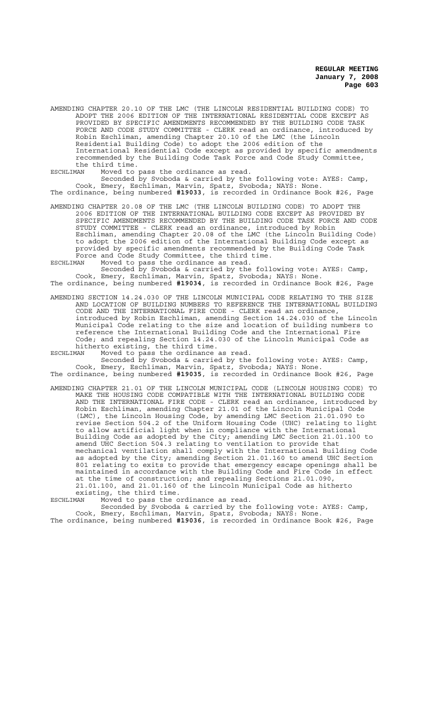AMENDING CHAPTER 20.10 OF THE LMC (THE LINCOLN RESIDENTIAL BUILDING CODE) TO ADOPT THE 2006 EDITION OF THE INTERNATIONAL RESIDENTIAL CODE EXCEPT AS PROVIDED BY SPECIFIC AMENDMENTS RECOMMENDED BY THE BUILDING CODE TASK FORCE AND CODE STUDY COMMITTEE - CLERK read an ordinance, introduced by Robin Eschliman, amending Chapter 20.10 of the LMC (the Lincoln Residential Building Code) to adopt the 2006 edition of the International Residential Code except as provided by specific amendments recommended by the Building Code Task Force and Code Study Committee, the third time.

ESCHLIMAN Moved to pass the ordinance as read.

Seconded by Svoboda & carried by the following vote: AYES: Camp, Cook, Emery, Eschliman, Marvin, Spatz, Svoboda; NAYS: None. The ordinance, being numbered **#19033**, is recorded in Ordinance Book #26, Page

AMENDING CHAPTER 20.08 OF THE LMC (THE LINCOLN BUILDING CODE) TO ADOPT THE 2006 EDITION OF THE INTERNATIONAL BUILDING CODE EXCEPT AS PROVIDED BY SPECIFIC AMENDMENTS RECOMMENDED BY THE BUILDING CODE TASK FORCE AND CODE STUDY COMMITTEE - CLERK read an ordinance, introduced by Robin Eschliman, amending Chapter 20.08 of the LMC (the Lincoln Building Code) to adopt the 2006 edition of the International Building Code except as provided by specific amendments recommended by the Building Code Task Force and Code Study Committee, the third time.

ESCHLIMAN Moved to pass the ordinance as read.

Seconded by Svoboda & carried by the following vote: AYES: Camp, Cook, Emery, Eschliman, Marvin, Spatz, Svoboda; NAYS: None. The ordinance, being numbered **#19034**, is recorded in Ordinance Book #26, Page

AMENDING SECTION 14.24.030 OF THE LINCOLN MUNICIPAL CODE RELATING TO THE SIZE AND LOCATION OF BUILDING NUMBERS TO REFERENCE THE INTERNATIONAL BUILDING CODE AND THE INTERNATIONAL FIRE CODE - CLERK read an ordinance, introduced by Robin Eschliman, amending Section 14.24.030 of the Lincoln Municipal Code relating to the size and location of building numbers to reference the International Building Code and the International Fire Code; and repealing Section 14.24.030 of the Lincoln Municipal Code as hitherto existing, the third time.<br>ESCHLIMAN Moved to pass the ordinance

Moved to pass the ordinance as read. Seconded by Svoboda & carried by the following vote: AYES: Camp, Cook, Emery, Eschliman, Marvin, Spatz, Svoboda; NAYS: None.

The ordinance, being numbered **#19035**, is recorded in Ordinance Book #26, Page

AMENDING CHAPTER 21.01 OF THE LINCOLN MUNICIPAL CODE (LINCOLN HOUSING CODE) TO MAKE THE HOUSING CODE COMPATIBLE WITH THE INTERNATIONAL BUILDING CODE AND THE INTERNATIONAL FIRE CODE - CLERK read an ordinance, introduced by Robin Eschliman, amending Chapter 21.01 of the Lincoln Municipal Code (LMC), the Lincoln Housing Code, by amending LMC Section 21.01.090 to revise Section 504.2 of the Uniform Housing Code (UHC) relating to light to allow artificial light when in compliance with the International Building Code as adopted by the City; amending LMC Section 21.01.100 to amend UHC Section 504.3 relating to ventilation to provide that mechanical ventilation shall comply with the International Building Code as adopted by the City; amending Section 21.01.160 to amend UHC Section 801 relating to exits to provide that emergency escape openings shall be maintained in accordance with the Building Code and Fire Code in effect at the time of construction; and repealing Sections 21.01.090, 21.01.100, and 21.01.160 of the Lincoln Municipal Code as hitherto existing, the third time.

ESCHLIMAN Moved to pass the ordinance as read.

Seconded by Svoboda & carried by the following vote: AYES: Camp, Cook, Emery, Eschliman, Marvin, Spatz, Svoboda; NAYS: None. The ordinance, being numbered **#19036**, is recorded in Ordinance Book #26, Page